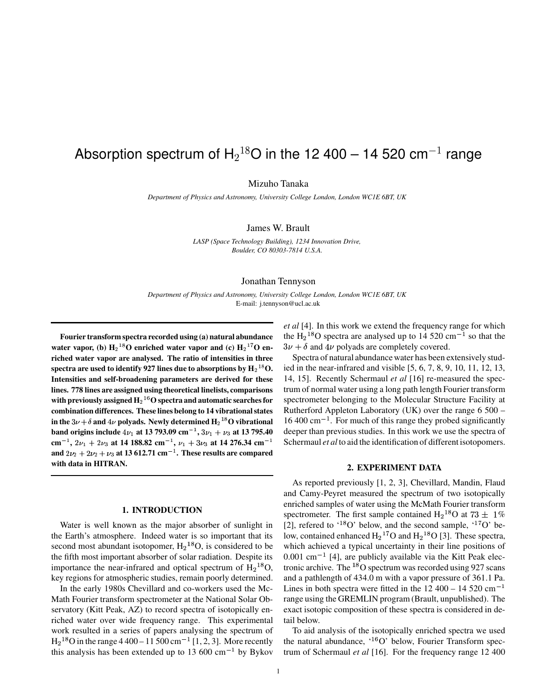# Absorption spectrum of  $H_2{}^{18}O$  in the 12 400 – 14 520 cm $^{-1}$  range

Mizuho Tanaka

*Department of Physics and Astronomy, University College London, London WC1E 6BT, UK*

James W. Brault

*LASP (Space Technology Building), 1234 Innovation Drive, Boulder, CO 80303-7814 U.S.A.*

#### Jonathan Tennyson

*Department of Physics and Astronomy, University College London, London WC1E 6BT, UK* E-mail: j.tennyson@ucl.ac.uk

**Fourier transform spectra recorded using (a) natural abundance water vapor,** (b)  $H_2$ <sup>18</sup>O enriched water **vapor** and (c)  $H_2$ <sup>17</sup>O en**riched water vapor are analysed. The ratio of intensities in three**  $\epsilon$  **spectra** are used to identify 927 lines due to absorptions by  $\mathbf{H}_{2}^{-18}\mathbf{O}.$  is **Intensities and self-broadening parameters are derived for these lines. 778 lines are assigned using theoretical linelists, comparisons** with previously assigned  $\mathbf{H}_{2}^{\perp 6}\mathbf{O}$  spectra and automatic searches for **combination differences. These lines belong to 14 vibrationalstates** in the  $3\nu + \delta$  and  $4\nu$  polyads. Newly determined  $\mathbf{H}_2{}^{18}\mathbf{O}$  vibrational **band** origins include  $4\nu_1$  at 13 793.09  $cm^{-1}$ ,  $3\nu_1 + \nu_3$  at 13 795.40 **cm**<sup>-1</sup>,  $2\nu_1 + 2\nu_3$  at 14 188.82 cm<sup>-1</sup>,  $\nu_1 + 3\nu_3$  at 14 276.34 cm<sup>-1</sup> Sche **and**  $2\nu_2 + 2\nu_2 + \nu_3$  at 13 612.71 cm<sup>-1</sup>. These results are compared **with data in HITRAN.**

# **1. INTRODUCTION**

Water is well known as the major absorber of sunlight in the Earth's atmosphere. Indeed water is so important that its second most abundant isotopomer,  $H_2$ <sup>18</sup>O, is considered to be the fifth most important absorber of solar radiation. Despite its importance the near-infrared and optical spectrum of  $H_2^{18}O$ , key regions for atmospheric studies, remain poorly determined.

In the early 1980s Chevillard and co-workers used the Mc-Math Fourier transform spectrometer at the National Solar Observatory (Kitt Peak, AZ) to record spectra of isotopically enriched water over wide frequency range. This experimental work resulted in a series of papers analysing the spectrum of  $H<sub>2</sub><sup>18</sup>O$  in the range 4 400 – 11 500 cm<sup>-1</sup> [1, 2, 3]. More recently this analysis has been extended up to 13 600  $\text{cm}^{-1}$  by Bykov *et al* [4]. In this work we extend the frequency range for which the  $H<sub>2</sub><sup>18</sup>O$  spectra are analysed up to 14 520 cm<sup>-1</sup> so that the  $3\nu + \delta$  and  $4\nu$  polyads are completely covered.

Spectra of natural abundance water has been extensively studied in the near-infrared and visible [5, 6, 7, 8, 9, 10, 11, 12, 13, 14, 15]. Recently Schermaul *et al* [16] re-measured the spectrum of normal water using a long path length Fourier transform spectrometer belonging to the Molecular Structure Facility at Rutherford Appleton Laboratory (UK) over the range 6 500 –  $16\,400\,\mathrm{cm}^{-1}$ . For much of this range they probed significantly deeper than previous studies. In this work we use the spectra of Schermaul *et al* to aid the identification of different isotopomers.

### **2. EXPERIMENT DATA**

As reported previously [1, 2, 3], Chevillard, Mandin, Flaud and Camy-Peyret measured the spectrum of two isotopically enriched samples of water using the McMath Fourier transform spectrometer. The first sample contained  $H_2^{18}O$  at  $73 \pm 1\%$ [2], refered to  $^{48}O'$  below, and the second sample,  $^{47}O'$  below, contained enhanced  $H_2$ <sup>17</sup>O and  $H_2$ <sup>18</sup>O [3]. These spectra, which achieved a typical uncertainty in their line positions of  $0.001$  cm<sup> $-1$ </sup> [4], are publicly available via the Kitt Peak electronic archive. The  $^{18}$ O spectrum was recorded using 927 scans and a pathlength of 434.0 m with a vapor pressure of 361.1 Pa. Lines in both spectra were fitted in the  $12\,400 - 14\,520\,\text{cm}^{-1}$ range using the GREMLIN program (Brault, unpublished). The exact isotopic composition of these spectra is considered in detail below.

To aid analysis of the isotopically enriched spectra we used the natural abundance,  $^{46}O'$  below, Fourier Transform spectrum of Schermaul *et al* [16]. For the frequency range 12 400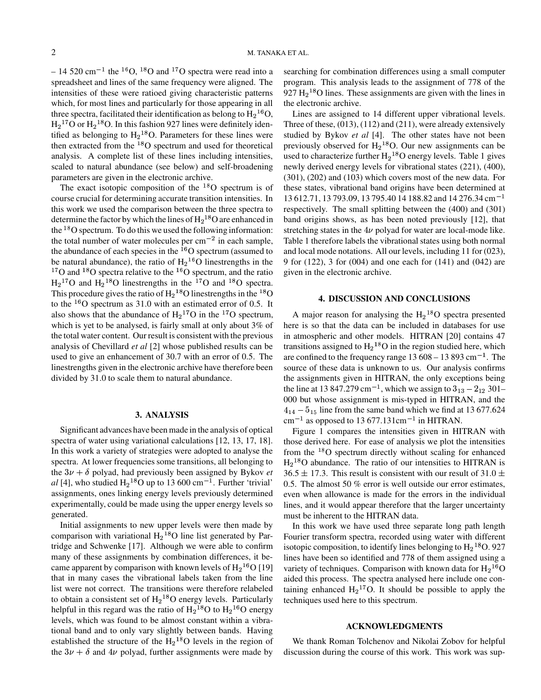– 14 520 cm<sup>-1</sup> the <sup>16</sup>O, <sup>18</sup>O and <sup>17</sup>O spectra were read into a spreadsheet and lines of the same frequency were aligned. The intensities of these were ratioed giving characteristic patterns which, for most lines and particularly for those appearing in all three spectra, facilitated their identification as belong to  $H_2^{16}O$ ,  $H<sub>2</sub><sup>17</sup>O$  or  $H<sub>2</sub><sup>18</sup>O$ . In this fashion 927 lines were definitely identified as belonging to  $H_2$ <sup>18</sup>O. Parameters for these lines were then extracted from the  $^{18}$ O spectrum and used for theoretical analysis. A complete list of these lines including intensities, scaled to natural abundance (see below) and self-broadening parameters are given in the electronic archive.

The exact isotopic composition of the  $^{18}$ O spectrum is of course crucial for determining accurate transition intensities. In this work we used the comparison between the three spectra to determine the factor by which the lines of  $H<sub>2</sub><sup>18</sup>O$  are enhanced in the  $^{18}$ O spectrum. To do this we used the following information: the total number of water molecules per  $cm^{-2}$  in each sample, the abundance of each species in the  $^{16}$ O spectrum (assumed to be natural abundance), the ratio of  $H_2^{16}O$  linestrengths in the  $^{17}$ O and  $^{18}$ O spectra relative to the  $^{16}$ O spectrum, and the ratio  $H<sub>2</sub><sup>17</sup>O$  and  $H<sub>2</sub><sup>18</sup>O$  linestrengths in the  $<sup>17</sup>O$  and  $<sup>18</sup>O$  spectra.</sup></sup> This procedure gives the ratio of  $H_2$ <sup>18</sup>O linestrengths in the <sup>18</sup>O to the  $^{16}$ O spectrum as 31.0 with an estimated error of 0.5. It also shows that the abundance of  $H_2^{17}O$  in the <sup>17</sup>O spectrum, which is yet to be analysed, is fairly small at only about 3% of the total water content. Our result is consistent with the previous analysis of Chevillard *et al* [2] whose published results can be used to give an enhancement of 30.7 with an error of 0.5. The linestrengths given in the electronic archive have therefore been divided by 31.0 to scale them to natural abundance.

#### **3. ANALYSIS**

Significant advances have been made in the analysis of optical spectra of water using variational calculations [12, 13, 17, 18]. In this work a variety of strategies were adopted to analyse the spectra. At lower frequencies some transitions, all belonging to the  $3\nu + \delta$  polyad, had previously been assigned by Bykov *et al* [4], who studied  $H_2$ <sup>18</sup>O up to 13 600 cm<sup>-1</sup>. Further 'trivial' assignments, ones linking energy levels previously determined experimentally, could be made using the upper energy levels so generated.

Initial assignments to new upper levels were then made by comparison with variational  $H_2$ <sup>18</sup>O line list generated by Partridge and Schwenke [17]. Although we were able to confirm many of these assignments by combination differences, it became apparent by comparison with known levels of  $H_2$ <sup>16</sup>O [19] that in many cases the vibrational labels taken from the line list were not correct. The transitions were therefore relabeled to obtain a consistent set of  $H_2$ <sup>18</sup>O energy levels. Particularly helpful in this regard was the ratio of  $H<sub>2</sub><sup>18</sup>O$  to  $H<sub>2</sub><sup>16</sup>O$  energy levels, which was found to be almost constant within a vibrational band and to only vary slightly between bands. Having established the structure of the  $H<sub>2</sub><sup>18</sup>O$  levels in the region of the  $3\nu + \delta$  and  $4\nu$  polyad, further assignments were made by

searching for combination differences using a small computer program. This analysis leads to the assignment of 778 of the  $927 \text{ H}_2$ <sup>18</sup>O lines. These assignments are given with the lines in the electronic archive.

Lines are assigned to 14 different upper vibrational levels. Three of these, (013), (112) and (211), were already extensively studied by Bykov *et al* [4]. The other states have not been previously observed for  $H<sub>2</sub><sup>18</sup>O$ . Our new assignments can be used to characterize further  $H_2$ <sup>18</sup>O energy levels. Table 1 gives newly derived energy levels for vibrational states (221), (400), (301), (202) and (103) which covers most of the new data. For these states, vibrational band origins have been determined at  $13612.71$ , 13 793.09, 13 795.40 14 188.82 and 14 276.34 cm<sup>-1</sup> respectively. The small splitting between the (400) and (301) band origins shows, as has been noted previously [12], that stretching states in the  $4\nu$  polyad for water are local-mode like. Table 1 therefore labels the vibrational states using both normal and local mode notations. All our levels, including 11 for (023), 9 for (122), 3 for (004) and one each for (141) and (042) are given in the electronic archive.

# **4. DISCUSSION AND CONCLUSIONS**

A major reason for analysing the  $H_2$ <sup>18</sup>O spectra presented here is so that the data can be included in databases for use in atmospheric and other models. HITRAN [20] contains 47 transitions assigned to  $H<sub>2</sub><sup>18</sup>O$  in the region studied here, which are confined to the frequency range  $13608 - 13893$  cm<sup>-1</sup>. The source of these data is unknown to us. Our analysis confirms the assignments given in HITRAN, the only exceptions being the line at 13 847.279 cm<sup>-1</sup>, which we assign to  $3_{13} - 2_{12}$  301-000 but whose assignment is mis-typed in HITRAN, and the  $4_{14} - 5_{15}$  line from the same band which we find at 13 677.624  $\text{cm}^{-1}$  as opposed to 13 677.131cm<sup>-1</sup> in HITRAN.

Figure 1 compares the intensities given in HITRAN with those derived here. For ease of analysis we plot the intensities from the  $^{18}$ O spectrum directly without scaling for enhanced  $H<sub>2</sub><sup>18</sup>O$  abundance. The ratio of our intensities to HITRAN is  $36.5 \pm 17.3$ . This result is consistent with our result of  $31.0 \pm 10.5$ 0.5. The almost 50 % error is well outside our error estimates, even when allowance is made for the errors in the individual lines, and it would appear therefore that the larger uncertainty must be inherent to the HITRAN data.

In this work we have used three separate long path length Fourier transform spectra, recorded using water with different isotopic composition, to identify lines belonging to  $H_2$ <sup>18</sup>O. 927 lines have been so identified and 778 of them assigned using a variety of techniques. Comparison with known data for  $H_2^{16}O$ aided this process. The spectra analysed here include one containing enhanced  $H_2$ <sup>17</sup>O. It should be possible to apply the techniques used here to this spectrum.

## **ACKNOWLEDGMENTS**

We thank Roman Tolchenov and Nikolai Zobov for helpful discussion during the course of this work. This work was sup